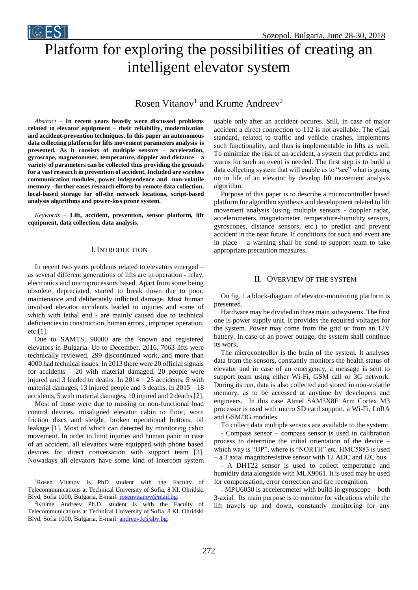# Platform for exploring the possibilities of creating an intelligent elevator system

## Rosen Vitanov<sup>1</sup> and Krume Andreev<sup>2</sup>

*Abstract –* **In recent years heavily were discussed problems related to elevator equipment – their reliability, modernization and accident-prevention techniques. In this paper an autonomous data collecting platform for lifts movement parameters analysis is presented. As it consists of multiple sensors – acceleration, gyroscope, magnetometer, temperature, doppler and distance – a variety of parameters can be collected thus providing the grounds for a vast research in prevention of accident. Included are wireless communication modules, power independence and non-volatile memory - further eases research efforts by remote data collection, local-based storage for off-the network locations, script-based analysis algorithms and power-loss prone system.**

*i* EST

*Keywords –* **Lift, accident, prevention, sensor platform, lift equipment, data collection, data analysis.**

## I.INTRODUCTION

In recent two years problems related to elevators emerged – as several different generations of lifts are in operation - relay, electronics and microprocessors based. Apart from some being obsolete, depreciated, started to break down due to poor, maintenance and deliberately inflicted damage. Most human involved elevator accidents leaded to injuries and some of which with lethal end - are mainly caused due to technical deficiencies in construction, human errors , improper operation, etc [1].

Due to SAMTS, 98000 are the known and registered elevators in Bulgaria. Up to December, 2016, 7063 lifts were technically reviewed, 299 discontinued work, and more than 4000 had technical issues. In 2013 there were 20 official signals for accidents – 20 with material damaged, 20 people were injured and 3 leaded to deaths. In 2014 – 25 accidents, 5 with material damages, 13 injured people and 3 deaths. In 2015 – 18 accidents, 5 with material damages, 10 injured and 2 deaths [2].

Most of those were due to missing or non-functional load control devices, misaligned elevator cabin to floor, worn friction discs and sleight, broken operational buttons, oil leakage [1]. Most of which can detected by monitoring cabin movement. In order to limit injuries and human panic in case of an accident, all elevators were equipped with phone based devices for direct conversation with support team [3]. Nowadays all elevators have some kind of intercom system

<sup>1</sup>Rosen Vitanov is PhD student with the Faculty of Telecommunications at Technical University of Sofia, 8 Kl. Ohridski Blvd, Sofia 1000, Bulgaria, E-mail: [rosenvitanov@mail.bg.](mailto:rosenvitanov@mail.bg)

<sup>2</sup>Krume Andreev Ph.D. student is with the Faculty of Telecommunications at Technical University of Sofia, 8 Kl. Ohridski Blvd, Sofia 1000, Bulgaria, E-mail: [andreev.k@abv.bg.](mailto:andreev.k@abv.bg)

usable only after an accident occures. Still, in case of major accident a direct connection to 112 is not available. The eCall standard, related to traffic and vehicle crashes, implements such functionality, and thus is implementable in lifts as well. To minimize the risk of an accident, a system that predicts and warns for such an event is needed. The first step is to build a data collecting system that will enable us to "see" what is going on in life of an elevator by develop lift movement analysis algorithm.

Purpose of this paper is to describe a microcontroller based platform for algorithm synthesis and development related to lift movement analysis (using multiple sensors - doppler radar, accelerometers, magnetometer, temperature-humidity sensors, gyroscopes, distance sensors, etc.) to predict and prevent accident in the near future. If conditions for such and event are in place – a warning shall be send to support team to take appropriate precaution measures.

## II. OVERVIEW OF THE SYSTEM

On fig. 1 a block-diagram of elevator-monitoring platform is presented.

Hardware may be divided in three main subsystems. The first one is power supply unit. It provides the required voltages for the system. Power may come from the grid or from an 12V battery. In case of an power outage, the system shall continue its work.

The microcontroller is the brain of the system. It analyses data from the sensors, constantly monitors the health status of elevator and in case of an emergency, a message is sent to support team using either Wi-Fi, GSM call or 3G network. During its run, data is also collected and stored in non-volatile memory, as to be accessed at anytime by developers and engineers. In this case Atmel SAM3X8E Arm Cortex M3 processor is used with micro SD card support, a Wi-Fi, LoRA and GSM/3G modules.

To collect data multiple sensors are available to the system:

- Compass sensor – compass sensor is used in calibration process to determine the initial orientation of the device – which way is "UP", where is "NORTH" etc. HMC5883 is used – a 3 axial magnitoresistive sensor with 12 ADC and I2C bus.

- A DHT22 sensor is used to collect temperature and humidity data alongside with MLX9061. It is used may be used for compensation, error correction and fire recognition.

- MPU6050 is accelerometer with build-in gyroscope – both 3-axial. Its main purpose is to monitor for vibrations while the lift travels up and down, constantly monitoring for any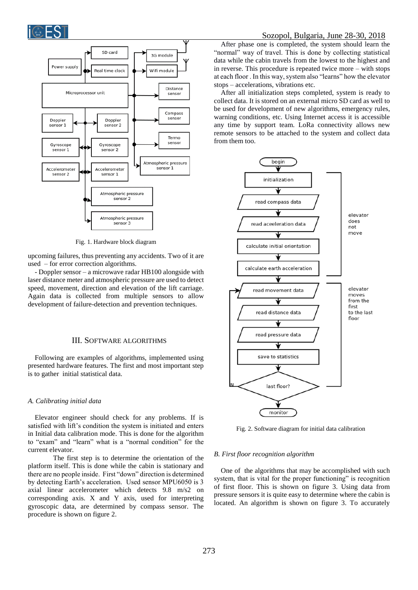



Fig. 1. Hardware block diagram

upcoming failures, thus preventing any accidents. Two of it are used – for error correction algorithms.

- Doppler sensor – a microwave radar HB100 alongside with laser distance meter and atmospheric pressure are used to detect speed, movement, direction and elevation of the lift carriage. Again data is collected from multiple sensors to allow development of failure-detection and prevention techniques.

## III. SOFTWARE ALGORITHMS

Following are examples of algorithms, implemented using presented hardware features. The first and most important step is to gather initial statistical data.

## *A. Calibrating initial data*

Elevator engineer should check for any problems. If is satisfied with lift's condition the system is initiated and enters in Initial data calibration mode. This is done for the algorithm to "exam" and "learn" what is a "normal condition" for the current elevator.

The first step is to determine the orientation of the platform itself. This is done while the cabin is stationary and there are no people inside. First "down" direction is determined by detecting Earth's acceleration. Used sensor MPU6050 is 3 axial linear accelerometer which detects 9.8 m/s2 on corresponding axis. X and Y axis, used for interpreting gyroscopic data, are determined by compass sensor. The procedure is shown on figure 2.

After phase one is completed, the system should learn the "normal" way of travel. This is done by collecting statistical data while the cabin travels from the lowest to the highest and in reverse. This procedure is repeated twice more – with stops at each floor . In this way, system also "learns" how the elevator stops – accelerations, vibrations etc.

After all initialization steps completed, system is ready to collect data. It is stored on an external micro SD card as well to be used for development of new algorithms, emergency rules, warning conditions, etc. Using Internet access it is accessible any time by support team. LoRa connectivity allows new remote sensors to be attached to the system and collect data from them too.



Fig. 2. Software diagram for initial data calibration

#### *B. First floor recognition algorithm*

One of the algorithms that may be accomplished with such system, that is vital for the proper functioning" is recognition of first floor. This is shown on figure 3. Using data from pressure sensors it is quite easy to determine where the cabin is located. An algorithm is shown on figure 3. To accurately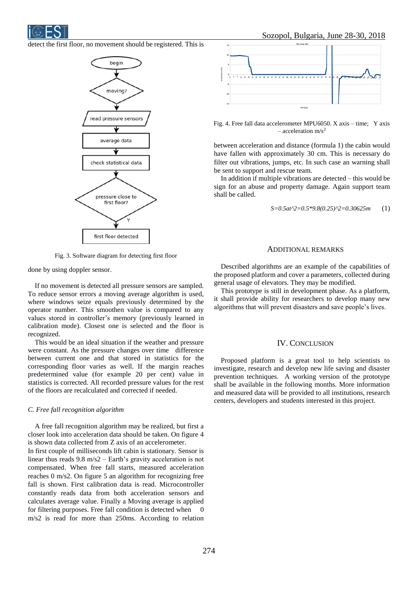

detect the first floor, no movement should be registered. This is



Fig. 3. Software diagram for detecting first floor

done by using doppler sensor.

If no movement is detected all pressure sensors are sampled. To reduce sensor errors a moving average algorithm is used, where windows seize equals previously determined by the operator number. This smoothen value is compared to any values stored in controller's memory (previously learned in calibration mode). Closest one is selected and the floor is recognized.

This would be an ideal situation if the weather and pressure were constant. As the pressure changes over time difference between current one and that stored in statistics for the corresponding floor varies as well. If the margin reaches predetermined value (for example 20 per cent) value in statistics is corrected. All recorded pressure values for the rest of the floors are recalculated and corrected if needed.

## *C. Free fall recognition algorithm*

A free fall recognition algorithm may be realized, but first a closer look into acceleration data should be taken. On figure 4 is shown data collected from Z axis of an accelerometer.

In first couple of milliseconds lift cabin is stationary. Sensor is linear thus reads 9.8 m/s2 – Earth's gravity acceleration is not compensated. When free fall starts, measured acceleration reaches 0 m/s2. On figure 5 an algorithm for recognizing free fall is shown. First calibration data is read. Microcontroller constantly reads data from both acceleration sensors and calculates average value. Finally a Moving average is applied for filtering purposes. Free fall condition is detected when 0 m/s2 is read for more than 250ms. According to relation



Fig. 4. Free fall data accelerometer MPU6050. X axis – time; Y axis – acceleration  $m/s^2$ 

between acceleration and distance (formula 1) the cabin would have fallen with approximately 30 cm. This is necessary do filter out vibrations, jumps, etc. In such case an warning shall be sent to support and rescue team.

In addition if multiple vibrations are detected – this would be sign for an abuse and property damage. Again support team shall be called.

$$
S = 0.5at^2 = 0.5*9.8(0.25)^2 = 0.30625m \tag{1}
$$

## ADDITIONAL REMARKS

Described algorithms are an example of the capabilities of the proposed platform and cover a parameters, collected during general usage of elevators. They may be modified.

This prototype is still in development phase. As a platform, it shall provide ability for researchers to develop many new algorithms that will prevent disasters and save people's lives.

## IV. CONCLUSION

Proposed platform is a great tool to help scientists to investigate, research and develop new life saving and disaster prevention techniques. A working version of the prototype shall be available in the following months. More information and measured data will be provided to all institutions, research centers, developers and students interested in this project.